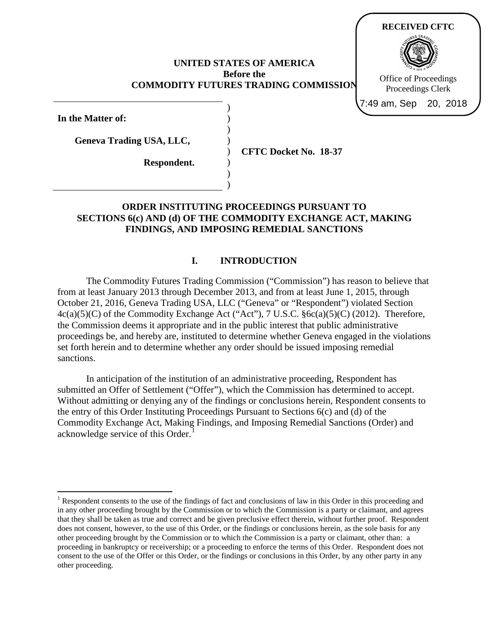#### **UNITED STATES OF AMERICA Before the COMMODITY FUTURES TRADING COMMISSION**

) ) ) ) ) ) ) )

**In the Matter of:**

**Geneva Trading USA, LLC,**

**Respondent.**

**CFTC Docket No. 18-37**

**RECEIVED CFTC**

Office of Proceedings Proceedings Clerk

7:49 am, Sep 20, 2018

## **ORDER INSTITUTING PROCEEDINGS PURSUANT TO SECTIONS 6(c) AND (d) OF THE COMMODITY EXCHANGE ACT, MAKING FINDINGS, AND IMPOSING REMEDIAL SANCTIONS**

## **I. INTRODUCTION**

The Commodity Futures Trading Commission ("Commission") has reason to believe that from at least January 2013 through December 2013, and from at least June 1, 2015, through October 21, 2016, Geneva Trading USA, LLC ("Geneva" or "Respondent") violated Section 4c(a)(5)(C) of the Commodity Exchange Act ("Act"), 7 U.S.C. §6c(a)(5)(C) (2012). Therefore, the Commission deems it appropriate and in the public interest that public administrative proceedings be, and hereby are, instituted to determine whether Geneva engaged in the violations set forth herein and to determine whether any order should be issued imposing remedial sanctions.

In anticipation of the institution of an administrative proceeding, Respondent has submitted an Offer of Settlement ("Offer"), which the Commission has determined to accept. Without admitting or denying any of the findings or conclusions herein, Respondent consents to the entry of this Order Instituting Proceedings Pursuant to Sections 6(c) and (d) of the Commodity Exchange Act, Making Findings, and Imposing Remedial Sanctions (Order) and acknowledge service of this Order.<sup>[1](#page-0-0)</sup>

<span id="page-0-0"></span><sup>&</sup>lt;sup>1</sup> Respondent consents to the use of the findings of fact and conclusions of law in this Order in this proceeding and in any other proceeding brought by the Commission or to which the Commission is a party or claimant, and agrees that they shall be taken as true and correct and be given preclusive effect therein, without further proof. Respondent does not consent, however, to the use of this Order, or the findings or conclusions herein, as the sole basis for any other proceeding brought by the Commission or to which the Commission is a party or claimant, other than: a proceeding in bankruptcy or receivership; or a proceeding to enforce the terms of this Order. Respondent does not consent to the use of the Offer or this Order, or the findings or conclusions in this Order, by any other party in any other proceeding.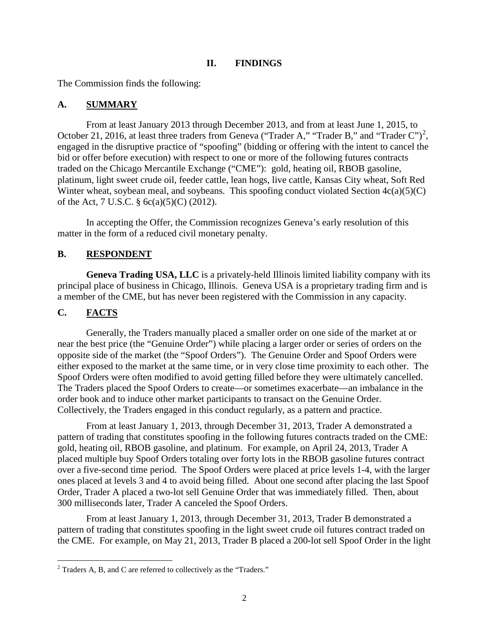#### **II. FINDINGS**

The Commission finds the following:

## **A. SUMMARY**

From at least January 2013 through December 2013, and from at least June 1, 2015, to October [2](#page-1-0)1, 2016, at least three traders from Geneva ("Trader A," "Trader B," and "Trader C")<sup>2</sup>, engaged in the disruptive practice of "spoofing" (bidding or offering with the intent to cancel the bid or offer before execution) with respect to one or more of the following futures contracts traded on the Chicago Mercantile Exchange ("CME"): gold, heating oil, RBOB gasoline, platinum, light sweet crude oil, feeder cattle, lean hogs, live cattle, Kansas City wheat, Soft Red Winter wheat, soybean meal, and soybeans. This spoofing conduct violated Section  $4c(a)(5)(C)$ of the Act, 7 U.S.C. § 6c(a)(5)(C) (2012).

In accepting the Offer, the Commission recognizes Geneva's early resolution of this matter in the form of a reduced civil monetary penalty.

## **B. RESPONDENT**

**Geneva Trading USA, LLC** is a privately-held Illinois limited liability company with its principal place of business in Chicago, Illinois. Geneva USA is a proprietary trading firm and is a member of the CME, but has never been registered with the Commission in any capacity.

## **C. FACTS**

Generally, the Traders manually placed a smaller order on one side of the market at or near the best price (the "Genuine Order") while placing a larger order or series of orders on the opposite side of the market (the "Spoof Orders"). The Genuine Order and Spoof Orders were either exposed to the market at the same time, or in very close time proximity to each other. The Spoof Orders were often modified to avoid getting filled before they were ultimately cancelled. The Traders placed the Spoof Orders to create—or sometimes exacerbate—an imbalance in the order book and to induce other market participants to transact on the Genuine Order. Collectively, the Traders engaged in this conduct regularly, as a pattern and practice.

From at least January 1, 2013, through December 31, 2013, Trader A demonstrated a pattern of trading that constitutes spoofing in the following futures contracts traded on the CME: gold, heating oil, RBOB gasoline, and platinum. For example, on April 24, 2013, Trader A placed multiple buy Spoof Orders totaling over forty lots in the RBOB gasoline futures contract over a five-second time period. The Spoof Orders were placed at price levels 1-4, with the larger ones placed at levels 3 and 4 to avoid being filled. About one second after placing the last Spoof Order, Trader A placed a two-lot sell Genuine Order that was immediately filled. Then, about 300 milliseconds later, Trader A canceled the Spoof Orders.

From at least January 1, 2013, through December 31, 2013, Trader B demonstrated a pattern of trading that constitutes spoofing in the light sweet crude oil futures contract traded on the CME. For example, on May 21, 2013, Trader B placed a 200-lot sell Spoof Order in the light

<span id="page-1-0"></span> $2$  Traders A, B, and C are referred to collectively as the "Traders."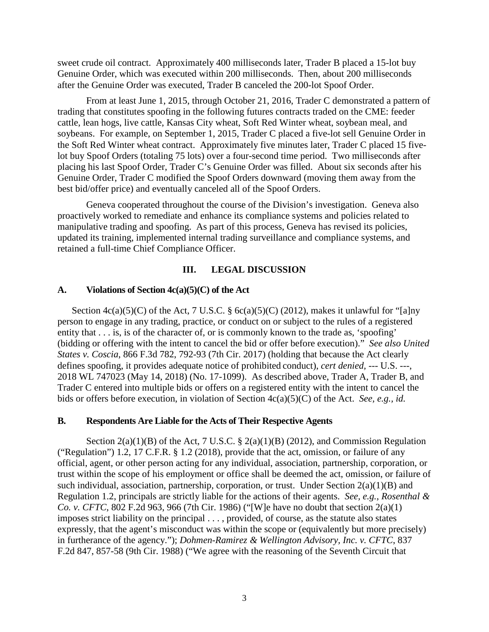sweet crude oil contract. Approximately 400 milliseconds later, Trader B placed a 15-lot buy Genuine Order, which was executed within 200 milliseconds. Then, about 200 milliseconds after the Genuine Order was executed, Trader B canceled the 200-lot Spoof Order.

From at least June 1, 2015, through October 21, 2016, Trader C demonstrated a pattern of trading that constitutes spoofing in the following futures contracts traded on the CME: feeder cattle, lean hogs, live cattle, Kansas City wheat, Soft Red Winter wheat, soybean meal, and soybeans. For example, on September 1, 2015, Trader C placed a five-lot sell Genuine Order in the Soft Red Winter wheat contract. Approximately five minutes later, Trader C placed 15 fivelot buy Spoof Orders (totaling 75 lots) over a four-second time period. Two milliseconds after placing his last Spoof Order, Trader C's Genuine Order was filled. About six seconds after his Genuine Order, Trader C modified the Spoof Orders downward (moving them away from the best bid/offer price) and eventually canceled all of the Spoof Orders.

Geneva cooperated throughout the course of the Division's investigation. Geneva also proactively worked to remediate and enhance its compliance systems and policies related to manipulative trading and spoofing. As part of this process, Geneva has revised its policies, updated its training, implemented internal trading surveillance and compliance systems, and retained a full-time Chief Compliance Officer.

### **III. LEGAL DISCUSSION**

### **A. Violations of Section 4c(a)(5)(C) of the Act**

Section  $4c(a)(5)(C)$  of the Act, 7 U.S.C. §  $6c(a)(5)(C)$  (2012), makes it unlawful for "[a]ny person to engage in any trading, practice, or conduct on or subject to the rules of a registered entity that  $\dots$  is, is of the character of, or is commonly known to the trade as, 'spoofing' (bidding or offering with the intent to cancel the bid or offer before execution)." *See also United States v. Coscia*, 866 F.3d 782, 792-93 (7th Cir. 2017) (holding that because the Act clearly defines spoofing, it provides adequate notice of prohibited conduct), *cert denied,* --- U.S. ---, 2018 WL 747023 (May 14, 2018) (No. 17-1099). As described above, Trader A, Trader B, and Trader C entered into multiple bids or offers on a registered entity with the intent to cancel the bids or offers before execution, in violation of Section 4c(a)(5)(C) of the Act. *See, e.g., id.*

#### **B. Respondents Are Liable for the Acts of Their Respective Agents**

Section  $2(a)(1)(B)$  of the Act, 7 U.S.C. §  $2(a)(1)(B)$  (2012), and Commission Regulation ("Regulation") 1.2, 17 C.F.R.  $\S 1.2$  (2018), provide that the act, omission, or failure of any official, agent, or other person acting for any individual, association, partnership, corporation, or trust within the scope of his employment or office shall be deemed the act, omission, or failure of such individual, association, partnership, corporation, or trust. Under Section  $2(a)(1)(B)$  and Regulation 1.2, principals are strictly liable for the actions of their agents. *See, e.g.*, *Rosenthal & Co. v. CFTC*, 802 F.2d 963, 966 (7th Cir. 1986) ("[W]e have no doubt that section 2(a)(1) imposes strict liability on the principal . . . , provided, of course, as the statute also states expressly, that the agent's misconduct was within the scope or (equivalently but more precisely) in furtherance of the agency."); *Dohmen-Ramirez & Wellington Advisory, Inc. v. CFTC*, 837 F.2d 847, 857-58 (9th Cir. 1988) ("We agree with the reasoning of the Seventh Circuit that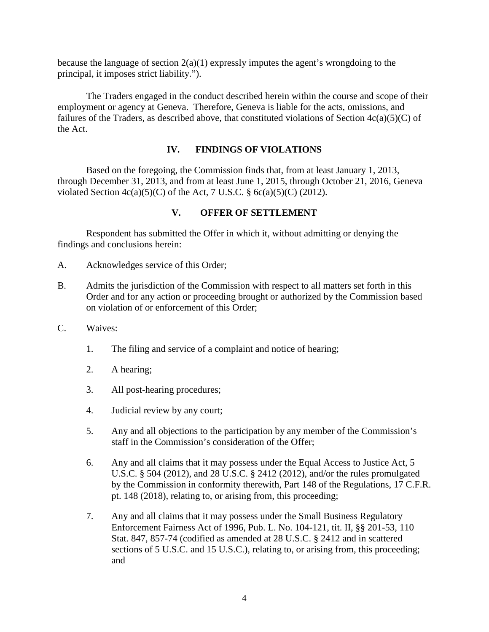because the language of section 2(a)(1) expressly imputes the agent's wrongdoing to the principal, it imposes strict liability.").

The Traders engaged in the conduct described herein within the course and scope of their employment or agency at Geneva. Therefore, Geneva is liable for the acts, omissions, and failures of the Traders, as described above, that constituted violations of Section  $4c(a)(5)(C)$  of the Act.

### **IV. FINDINGS OF VIOLATIONS**

Based on the foregoing, the Commission finds that, from at least January 1, 2013, through December 31, 2013, and from at least June 1, 2015, through October 21, 2016, Geneva violated Section  $4c(a)(5)(C)$  of the Act, 7 U.S.C. §  $6c(a)(5)(C)$  (2012).

### **V. OFFER OF SETTLEMENT**

Respondent has submitted the Offer in which it, without admitting or denying the findings and conclusions herein:

- A. Acknowledges service of this Order;
- B. Admits the jurisdiction of the Commission with respect to all matters set forth in this Order and for any action or proceeding brought or authorized by the Commission based on violation of or enforcement of this Order;
- C. Waives:
	- 1. The filing and service of a complaint and notice of hearing;
	- 2. A hearing;
	- 3. All post-hearing procedures;
	- 4. Judicial review by any court;
	- 5. Any and all objections to the participation by any member of the Commission's staff in the Commission's consideration of the Offer;
	- 6. Any and all claims that it may possess under the Equal Access to Justice Act, 5 U.S.C. § 504 (2012), and 28 U.S.C. § 2412 (2012), and/or the rules promulgated by the Commission in conformity therewith, Part 148 of the Regulations, 17 C.F.R. pt. 148 (2018), relating to, or arising from, this proceeding;
	- 7. Any and all claims that it may possess under the Small Business Regulatory Enforcement Fairness Act of 1996, Pub. L. No. 104-121, tit. II, §§ 201-53, 110 Stat. 847, 857-74 (codified as amended at 28 U.S.C. § 2412 and in scattered sections of 5 U.S.C. and 15 U.S.C.), relating to, or arising from, this proceeding; and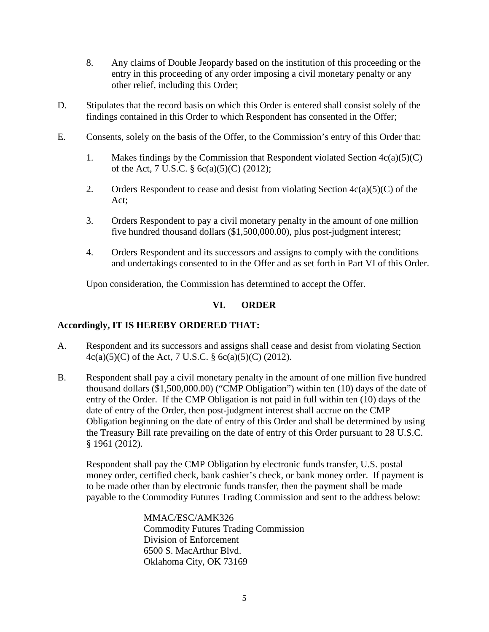- 8. Any claims of Double Jeopardy based on the institution of this proceeding or the entry in this proceeding of any order imposing a civil monetary penalty or any other relief, including this Order;
- D. Stipulates that the record basis on which this Order is entered shall consist solely of the findings contained in this Order to which Respondent has consented in the Offer;
- E. Consents, solely on the basis of the Offer, to the Commission's entry of this Order that:
	- 1. Makes findings by the Commission that Respondent violated Section  $4c(a)(5)(C)$ of the Act, 7 U.S.C. § 6c(a)(5)(C) (2012);
	- 2. Orders Respondent to cease and desist from violating Section  $4c(a)(5)(C)$  of the Act;
	- 3. Orders Respondent to pay a civil monetary penalty in the amount of one million five hundred thousand dollars (\$1,500,000.00), plus post-judgment interest;
	- 4. Orders Respondent and its successors and assigns to comply with the conditions and undertakings consented to in the Offer and as set forth in Part VI of this Order.

Upon consideration, the Commission has determined to accept the Offer.

# **VI. ORDER**

## **Accordingly, IT IS HEREBY ORDERED THAT:**

- A. Respondent and its successors and assigns shall cease and desist from violating Section 4c(a)(5)(C) of the Act, 7 U.S.C. § 6c(a)(5)(C) (2012).
- B. Respondent shall pay a civil monetary penalty in the amount of one million five hundred thousand dollars (\$1,500,000.00) ("CMP Obligation") within ten (10) days of the date of entry of the Order. If the CMP Obligation is not paid in full within ten (10) days of the date of entry of the Order, then post-judgment interest shall accrue on the CMP Obligation beginning on the date of entry of this Order and shall be determined by using the Treasury Bill rate prevailing on the date of entry of this Order pursuant to 28 U.S.C. § 1961 (2012).

Respondent shall pay the CMP Obligation by electronic funds transfer, U.S. postal money order, certified check, bank cashier's check, or bank money order. If payment is to be made other than by electronic funds transfer, then the payment shall be made payable to the Commodity Futures Trading Commission and sent to the address below:

> MMAC/ESC/AMK326 Commodity Futures Trading Commission Division of Enforcement 6500 S. MacArthur Blvd. Oklahoma City, OK 73169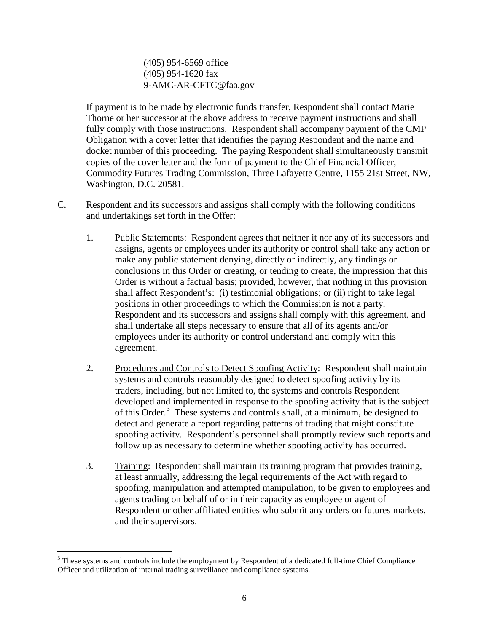(405) 954-6569 office (405) 954-1620 fax 9-AMC-AR-CFTC@faa.gov

If payment is to be made by electronic funds transfer, Respondent shall contact Marie Thorne or her successor at the above address to receive payment instructions and shall fully comply with those instructions. Respondent shall accompany payment of the CMP Obligation with a cover letter that identifies the paying Respondent and the name and docket number of this proceeding. The paying Respondent shall simultaneously transmit copies of the cover letter and the form of payment to the Chief Financial Officer, Commodity Futures Trading Commission, Three Lafayette Centre, 1155 21st Street, NW, Washington, D.C. 20581.

- C. Respondent and its successors and assigns shall comply with the following conditions and undertakings set forth in the Offer:
	- 1. Public Statements: Respondent agrees that neither it nor any of its successors and assigns, agents or employees under its authority or control shall take any action or make any public statement denying, directly or indirectly, any findings or conclusions in this Order or creating, or tending to create, the impression that this Order is without a factual basis; provided, however, that nothing in this provision shall affect Respondent's: (i) testimonial obligations; or (ii) right to take legal positions in other proceedings to which the Commission is not a party. Respondent and its successors and assigns shall comply with this agreement, and shall undertake all steps necessary to ensure that all of its agents and/or employees under its authority or control understand and comply with this agreement.
	- 2. Procedures and Controls to Detect Spoofing Activity: Respondent shall maintain systems and controls reasonably designed to detect spoofing activity by its traders, including, but not limited to, the systems and controls Respondent developed and implemented in response to the spoofing activity that is the subject of this Order. [3](#page-5-0) These systems and controls shall, at a minimum, be designed to detect and generate a report regarding patterns of trading that might constitute spoofing activity. Respondent's personnel shall promptly review such reports and follow up as necessary to determine whether spoofing activity has occurred.
	- 3. Training: Respondent shall maintain its training program that provides training, at least annually, addressing the legal requirements of the Act with regard to spoofing, manipulation and attempted manipulation, to be given to employees and agents trading on behalf of or in their capacity as employee or agent of Respondent or other affiliated entities who submit any orders on futures markets, and their supervisors.

<span id="page-5-0"></span><sup>&</sup>lt;sup>3</sup> These systems and controls include the employment by Respondent of a dedicated full-time Chief Compliance Officer and utilization of internal trading surveillance and compliance systems.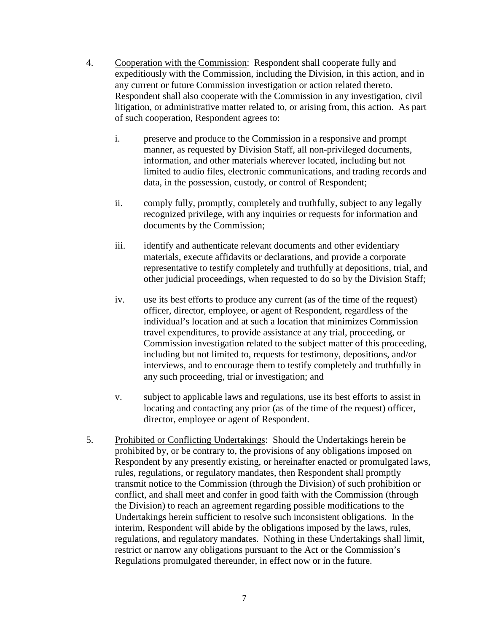- 4. Cooperation with the Commission: Respondent shall cooperate fully and expeditiously with the Commission, including the Division, in this action, and in any current or future Commission investigation or action related thereto. Respondent shall also cooperate with the Commission in any investigation, civil litigation, or administrative matter related to, or arising from, this action. As part of such cooperation, Respondent agrees to:
	- i. preserve and produce to the Commission in a responsive and prompt manner, as requested by Division Staff, all non-privileged documents, information, and other materials wherever located, including but not limited to audio files, electronic communications, and trading records and data, in the possession, custody, or control of Respondent;
	- ii. comply fully, promptly, completely and truthfully, subject to any legally recognized privilege, with any inquiries or requests for information and documents by the Commission;
	- iii. identify and authenticate relevant documents and other evidentiary materials, execute affidavits or declarations, and provide a corporate representative to testify completely and truthfully at depositions, trial, and other judicial proceedings, when requested to do so by the Division Staff;
	- iv. use its best efforts to produce any current (as of the time of the request) officer, director, employee, or agent of Respondent, regardless of the individual's location and at such a location that minimizes Commission travel expenditures, to provide assistance at any trial, proceeding, or Commission investigation related to the subject matter of this proceeding, including but not limited to, requests for testimony, depositions, and/or interviews, and to encourage them to testify completely and truthfully in any such proceeding, trial or investigation; and
	- v. subject to applicable laws and regulations, use its best efforts to assist in locating and contacting any prior (as of the time of the request) officer, director, employee or agent of Respondent.
- 5. Prohibited or Conflicting Undertakings: Should the Undertakings herein be prohibited by, or be contrary to, the provisions of any obligations imposed on Respondent by any presently existing, or hereinafter enacted or promulgated laws, rules, regulations, or regulatory mandates, then Respondent shall promptly transmit notice to the Commission (through the Division) of such prohibition or conflict, and shall meet and confer in good faith with the Commission (through the Division) to reach an agreement regarding possible modifications to the Undertakings herein sufficient to resolve such inconsistent obligations. In the interim, Respondent will abide by the obligations imposed by the laws, rules, regulations, and regulatory mandates. Nothing in these Undertakings shall limit, restrict or narrow any obligations pursuant to the Act or the Commission's Regulations promulgated thereunder, in effect now or in the future.